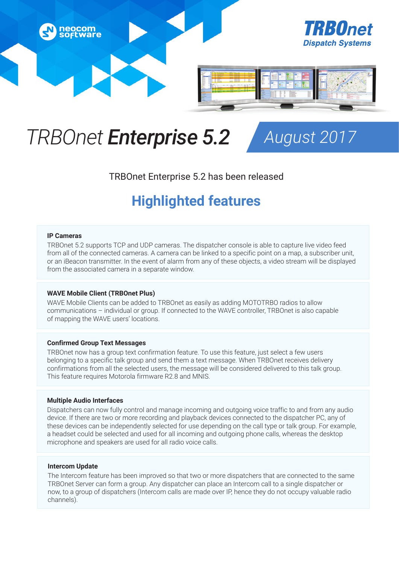

# *TRBOnet Enterprise 5.2 August 2017*

### TRBOnet Enterprise 5.2 has been released

## **Highlighted features**

#### **IP Cameras**

TRBOnet 5.2 supports TCP and UDP cameras. The dispatcher console is able to capture live video feed from all of the connected cameras. A camera can be linked to a specific point on a map, a subscriber unit, or an iBeacon transmitter. In the event of alarm from any of these objects, a video stream will be displayed from the associated camera in a separate window.

#### **WAVE Mobile Client (TRBOnet Plus)**

WAVE Mobile Clients can be added to TRBOnet as easily as adding MOTOTRBO radios to allow communications – individual or group. If connected to the WAVE controller, TRBOnet is also capable of mapping the WAVE users' locations.

#### **Confirmed Group Text Messages**

TRBOnet now has a group text confirmation feature. To use this feature, just select a few users belonging to a specific talk group and send them a text message. When TRBOnet receives delivery confirmations from all the selected users, the message will be considered delivered to this talk group. This feature requires Motorola firmware R2.8 and MNIS.

#### **Multiple Audio Interfaces**

Dispatchers can now fully control and manage incoming and outgoing voice traffic to and from any audio device. If there are two or more recording and playback devices connected to the dispatcher PC, any of these devices can be independently selected for use depending on the call type or talk group. For example, a headset could be selected and used for all incoming and outgoing phone calls, whereas the desktop microphone and speakers are used for all radio voice calls.

#### **Intercom Update**

The Intercom feature has been improved so that two or more dispatchers that are connected to the same TRBOnet Server can form a group. Any dispatcher can place an Intercom call to a single dispatcher or now, to a group of dispatchers (Intercom calls are made over IP, hence they do not occupy valuable radio channels).